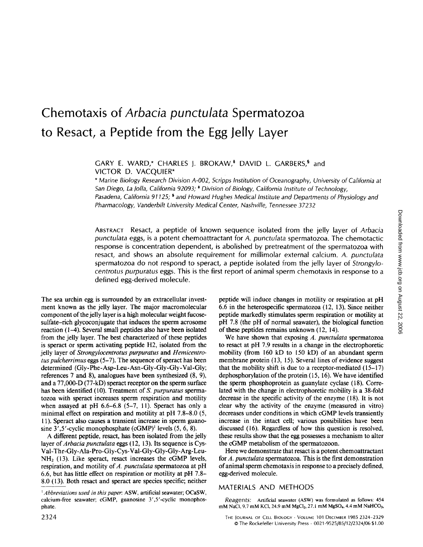# **Chemotaxis of** *Arbacia punctulata* **Spermatozoa to Resact, a Peptide from the Egg Jelly Layer**

GARY E. WARD,\* CHARLES J. BROKAW,<sup>‡</sup> DAVID L. GARBERS,<sup>§</sup> and VICTOR D. VACQUIER\*

*\* Marine Biology Research Division A-O02, Scripps Institution of Oceanography, University of California at San Diego, La Jolla, California 92093; \* Division of Biology, California Institute of Technology, Pasadena, California 91125; s and Howard Hughes Medical Institute and Departments of Physiology and Pharmacology, Vanderbilt University Medical Center, Nashville, Tennessee 37232* 

ABSTRACT Resact, a peptide of known sequence isolated from the jelly layer of *Arbacia punctulata* eggs, is a potent chemoattractant for *A. punctulata* spermatozoa. The chemotactic response is concentration dependent, is abolished by pretreatment of the spermatozoa with resact, and shows an absolute requirement for millimolar external calcium. *A. punctulata*  spermatozoa do not respond to speract, a peptide isolated from the jelly layer of *Strongylocentrotus purpuratus* eggs. This is the first report of animal sperm chemotaxis in response to a defined egg-derived molecule.

The sea urchin egg is surrounded by an extracellular investment known as the jelly layer. The major macromolecular component of the jelly layer is a high molecular weight fucosesulfate-rich glycoconjugate that induces the sperm acrosome reaction (1-4). Several small peptides also have been isolated from the jelly layer. The best characterized of these peptides is speract or sperm activating peptide H2, isolated from the jelly layer of *Strongylocentrotus purpuratus* and *Hemicentrotus pulcherrimus eggs (5-7)*. The sequence of speract has been determined (Gly-Phe-Asp-Leu-Asn-Gly-Gly-Gly-Val-Gly; references 7 and 8), analogues have been synthesized (8, 9), and a 77,000-D (77-kD) speract receptor on the sperm surface has been identified (10). Treatment of *S. purpuratus* spermatozoa with speract increases sperm respiration and motility when assayed at pH  $6.6-6.8$   $(5-7, 11)$ . Speract has only a minimal effect on respiration and motility at pH 7.8-8.0 (5, 11). Speract also causes a transient increase in sperm guanosine  $3', 5'$ -cyclic monophosphate (cGMP)<sup>1</sup> levels  $(5, 6, 8)$ .

A different peptide, resact, has been isolated from the jelly layer of *Arbacia punctulata* eggs ( 12, 13). Its sequence is Cys-Val-Thr-Gly-Ala-Pro-Gly-Cys-Val-Gly-Gly-Gly-Arg-Leu- $NH<sub>2</sub>$  (13). Like speract, resact increases the cGMP levels, respiration, and motility of A. *punctulata* spermatozoa at pH 6.6, but has little effect on respiration or motility at pH 7.8- 8.0 (13). Both resact and speract are species specific; neither

peptide will induce changes in motility or respiration at pH 6.6 in the heterospecific spermatozoa (12, 13). Since neither peptide markedly stimulates sperm respiration or motility at pH 7.8 (the pH of normal seawater), the biological function of these peptides remains unknown (12, 14).

We have shown that exposing *A. punctulata* spermatozoa to resact at pH 7.9 results in a change in the electrophoretic mobility (from 160 kD to 150 kD) of an abundant sperm membrane protein (13, 15). Several lines of evidence suggest that the mobility shift is due to a receptor-mediated  $(15-17)$ dephosphorylation of the protein (15, 16). We have identified the sperm phosphoprotein as guanylate cyclase (18). Correlated with the change in electrophoretic mobility is a 38-fold decrease in the specific activity of the enzyme (18). It is not clear why the activity of the enzyme (measured in vitro) decreases under conditions in which cGMP levels transiently increase in the intact cell; various possibilities have been discussed (16). Regardless of how this question is resolved, these results show that the egg possesses a mechanism to alter the cGMP metabolism of the spermatozoon.

Here we demonstrate that resact is a potent chemoattractant for *A. punctulata* spermatozoa. This is the first demonstration of animal sperm chemotaxis in response to a precisely defined, egg-derived molecule.

### MATERIALS AND METHODS

*Reagents:* Artificial seawater (ASW) was formulated as follows: 454 mM NaCl, 9.7 mM KCl, 24.9 mM MgCl<sub>2</sub>, 27.1 mM MgSO<sub>4</sub>, 4.4 mM NaHCO<sub>3</sub>,

*<sup>~</sup> Abbrevialions used in this paper.* ASW, artificial seawater; OCaSW, calcium-free seawater; cGMP, guanosine 3',5'-cyclic monophosphate.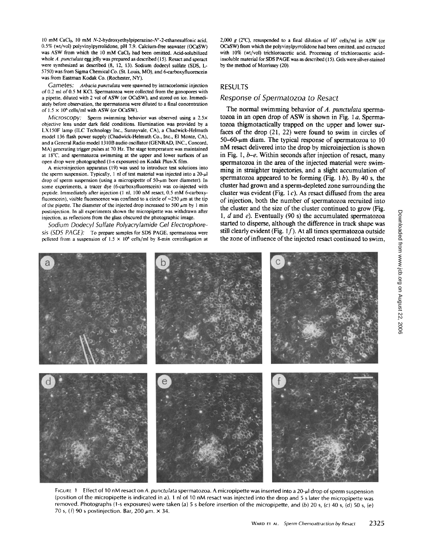l0 mM CaCl2, 10 mM *N-2-hydroxyethylpiperazine-N'-2-ethanesulfonic* acid, 0.5% (wt/vol) polyvinylpyrrolidone, pH 7.9. Calcium-free seawater (OCaSW) was ASW from which the 10 mM CaCl<sub>2</sub> had been omitted. Acid-solubilized whole *A. punctulata egg* jelly was prepared as described (15). Resact and speract were synthesized as described (8, 12, 13). Sodium dodecyl sulfate (SDS, L-5750) was from Sigma Chemical Co. (St. Louis, MO), and 6-carboxyfiuorescein was from Eastman Kodak Co. (Rochester, NY).

*Gametes: Arbacia punctulata* were spawned by intracoelomic injection of 0.2 ml of 0.5 M KCI. Spermatozoa were collected from the gonopores with a pipette, diluted with 2 vol of ASW (or OCaSW), and stored on ice. Immediately before observation, the spermatozoa were diluted to a final concentration of  $1.5 \times 10^6$  cells/ml with ASW (or OCaSW).

*Microscopy:* Sperm swimming behavior was observed using a 2.5x objective lens under dark field conditions. Illumination was provided by a LXI50F lamp (ILC Technology Inc., Sunnyvale, CA), a Chadwick-Helmuth model 136 flash power supply (Chadwick-Helmuth Co., Inc., El Monte, CA), and a General Radio model 1310B audio oscillator (GENRAD, INC., Concord, MA) generating trigger pulses at 70 Hz. The stage temperature was maintained at 18"C, and spermatozoa swimming at the upper and lower surfaces of an open drop were photographed (l-s exposures) on Kodak Plus-X film.

A microinjection apparatus (19) was used to introduce test solutions into the sperm suspension. Typically, 1 nl of test material was injected into a  $20-\mu$ 1 drop of sperm suspension (using a micropipette of  $50-\mu m$  bore diameter). In some experiments, a tracer dye (6-carboxyfluorescein) was co-injected with peptide. Immediately after injection (1 nl, 100 nM resact, 0.5 mM 6-carboxyfluorescein), visible fluorescence was confined to a circle of  $\sim$ 250  $\mu$ m at the tip of the pipette. The diameter of the injected drop increased to 500  $\mu$ m by 1 min postinjection. In all experiments shown the micropipette was withdrawn after injection, as reflections from the glass obscured the photographic image.

*Sodium Dodecyl Sulfate Polyacrylamide Gel Electrophoresis (SDS PAGE):* To prepare samples for SDS PAGE, spermatozoa were pelleted from a suspension of  $1.5 \times 10^6$  cells/ml by 8-min centrifugation at

2,000 g (2°C), resuspended to a final dilution of  $10^7$  cells/ml in ASW (or OCaSW) from which the polyvinylpyrrolidone had been omitted, and extracted with 10% (wt/vol) trichloroacetic acid. Processing of trichloroacetic acidinsoluble material for SDS PAGE was as described (15). Gels were silver-stained by the method of Morrissey (20).

#### RESULTS

### *Response of Spermatozoa to Resact*

The normal swimming behavior of *A. punctulata* spermatozoa in an open drop of ASW is shown in Fig. 1 a. Spermatozoa thigmotactically trapped on the upper and lower surfaces of the drop (21, 22) were found to swim in circles of 50-60- $~\mu$ m diam. The typical response of spermatozoa to 10 nM resact delivered into the drop by microinjection is shown in Fig. 1, *b-e.* Within seconds after injection of resact, many spermatozoa in the area of the injected material were swimming in straighter trajectories, and a slight accumulation of spermatozoa appeared to be forming (Fig.  $1 b$ ). By 40 s, the cluster had grown and a sperm-depleted zone surrounding the cluster was evident (Fig. 1 $c$ ). As resact diffused from the area of injection, both the number of spermatozoa recruited into the cluster and the size of the duster continued to grow (Fig. 1,  $d$  and  $e$ ). Eventually (90 s) the accumulated spermatozoa started to disperse, although the difference in track shape was still clearly evident (Fig.  $1f$ ). At all times spermatozoa outside the zone of influence of the injected resact continued to swim,



FIGURE 1 Effect of 10 nM resact on A. punctulata spermatozoa. A micropipette was inserted into a 20-µl drop of sperm suspension (position of the micropipette is indicated in a). 1 nt of 10 nM resact was injected into the drop and 5 s later the micropipette was removed. Photographs (1-s exposures) were taken (a) 5 s before insertion of the micropipette, and (b) 20 s, (c) 40 s, (d) 50 s, (e) 70 s, (f) 90 s postinjection. Bar, 200  $\mu$ m.  $\times$  34.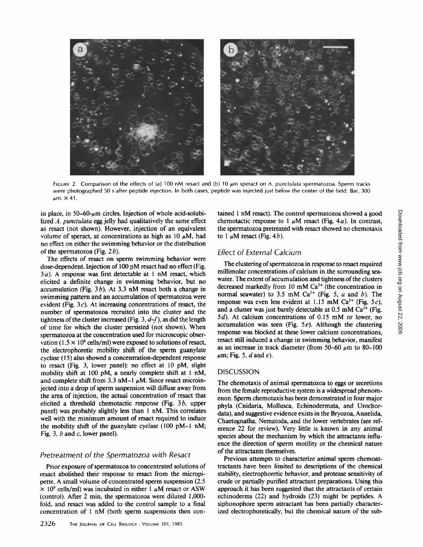

FIGURE 2 Comparison of the effects of (a) 100 nM resact and (b) 10  $\mu$ m speract on *A. punctulata* spermatozoa. Sperm tracks were photographed 50 s after peptide injection. In both cases, peptide was injected just below the center of the field. Bar, 300  $\mu$ m,  $\times$  41.

in place, in 50-60- $\mu$ m circles. Injection of whole acid-solubilized A. *punctulata egg* jelly had qualitatively the same effect as resact (not shown). However, injection of an equivalent volume of speract, at concentrations as high as 10  $\mu$ M, had no effect on either the swimming behavior or the distribution of the spermatozoa (Fig.  $2b$ ).

The effects of resact on sperm swimming behavior were dose-dependent. Injection of 100 pM resact had no effect (Fig. 3a). A response was first detectable at 1 nM resact, which elicited a definite change in swimming behavior, but no accumulation (Fig.  $3b$ ). At 3.3 nM resact both a change in swimming pattern and an accumulation of spermatozoa were evident (Fig.  $3c$ ). At increasing concentrations of resact, the number of spermatozoa recruited into the cluster and the tightness of the cluster increased (Fig. 3, *d-f), as* did the length of time for which the cluster persisted (not shown). When spermatozoa at the concentration used for microscopic observation (1.5  $\times$  10<sup>6</sup> cells/ml) were exposed to solutions of resact, the electrophoretic mobility shift of the sperm guanylate cyclase (15) also showed a concentration-dependent response to resact (Fig. 3, lower panel): no effect at 10 pM, slight mobility shift at 100 pM, a nearly complete shift at 1 nM, and complete shift from 3.3 nM-1  $\mu$ M. Since resact microinjected into a drop of sperm suspension will diffuse away from the area of injection, the actual concentration of resact that elicited a threshold chemotactic response (Fig. 3b, upper panel) was probably slightly less than 1 nM. This correlates well with the minimum amount of resact required to induce the mobility shift of the guanylate cyclase (100 pM-I nM; Fig. 3,  $b$  and  $c$ , lower panel).

#### *Pretreatment of the Spermatozoa with Resact*

Prior exposure of spermatozoa to concentrated solutions of resact abolished their response to resact from the micropipette. A small volume of concentrated sperm suspension (2.5  $\times$  10<sup>9</sup> cells/ml) was incubated in either 1  $\mu$ M resact or ASW (control). After 2 min, the spermatozoa were diluted 1,000 fold, and resact was added to the control sample to a final concentration of I nM (both sperm suspensions then contained 1 nM resact). The control spermatozoa showed a good chemotactic response to 1  $\mu$ M resact (Fig. 4*a*). In contrast, the spermatozoa pretreated with resact showed no chemotaxis to 1  $\mu$ M resact (Fig. 4*b*).

## *Effect of External Calcium*

The clustering of spermatozoa in response to resact required millimolar concentrations of calcium in the surrounding seawater. The extent of accumulation and tightness of the clusters decreased markedly from 10 mM  $Ca<sup>2+</sup>$  (the concentration in normal seawater) to 3.5 mM Ca<sup>2+</sup> (Fig. 5, a and b). The response was even less evident at 1.15 mM Ca<sup>2+</sup> (Fig. 5c), and a cluster was just barely detectable at  $0.5 \text{ mM } Ca^{2+}$  (Fig. 5d). At calcium concentrations of 0.15 mM or lower, no accumulation was seen (Fig.  $5e$ ). Although the clustering response was blocked at these lower calcium concentrations, resact still induced a change in swimming behavior, manifest as an increase in track diameter (from 50-60  $\mu$ m to 80-100  $\mu$ m; Fig. 5, d and e).

#### DISCUSSION

The chemotaxis of animal spermatozoa to eggs or secretions from the female reproductive system is a widespread phenomenon. Sperm chemotaxis has been demonstrated in four major phyla (Cnidaria, Mollusca, Echinodermata, and Urochordata), and suggestive evidence exists in the Bryozoa, Annelida, Chaetognatha, Nematoda, and the lower vertebrates (see reference 22 for review). Very little is known in any animal species about the mechanism by which the attractants influence the direction of sperm motility or the chemical nature of the attractants themselves.

Previous attempts to characterize animal sperm chemoattractants have been limited to descriptions of the chemical stability, electrophoretic behavior, and protease sensitivity of crude or partially purified attractant preparations. Using this approach it has been suggested that the attractants of certain echinoderms (22) and hydroids (23) might be peptides. A siphonophore sperm attractant has been partially characterized electrophoretically, but the chemical nature of the sub-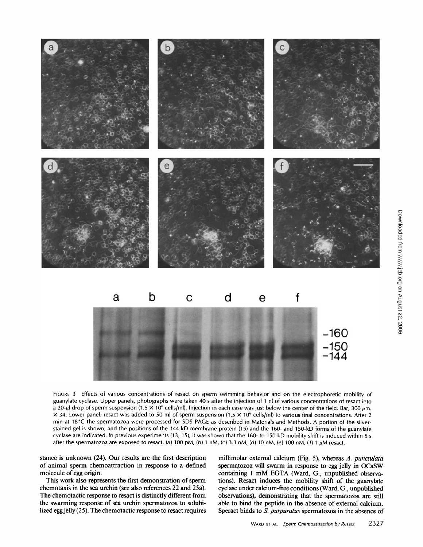

FIGURE 3 Effects of various concentrations of resact on sperm swimming behavior and on the electrophoretic mobility of guanylate cyclase. Upper panels, photographs were taken 40 s after the injection of 1 nl of various concentrations of resact into a 20- $\mu$ l drop of sperm suspension (1.5  $\times$  10<sup>6</sup> cells/ml). Injection in each case was just below the center of the field. Bar, 300  $\mu$ m.  $\times$  34. Lower panel, resact was added to 50 ml of sperm suspension (1.5  $\times$  10<sup>6</sup> cells/ml) to various final concentrations. After 2 min at 18°C the spermatozoa were processed for SDS PAGE as described in Materials and Methods. A portion of the silverstained gel is shown, and the positions of the 144-kD membrane protein (15) and the 160- and 150-kD forms of the guanylate cyclase are indicated. In previous experiments (13, 15), it was shown that the 160- to 150-kD mobility shift is induced within 5 s after the spermatozoa are exposed to resact. (a) 100 pM, (b) 1 nM, (c) 3.3 nM, (d) 10 nM, (e) 100 nM, (f) 1  $\mu$ M resact.

stance is unknown (24). Our results are the first description of animal sperm chemoattraction in response to a defined molecule of egg origin.

This work also represents the first demonstration of sperm chemotaxis in the sea urchin (see also references 22 and 25a). The chemotactic response to resact is distinctly different from the swarming response of sea urchin spermatozoa to solubilized egg jelly (25). The chemotactic response to resact requires

millimolar external calcium (Fig. 5), whereas *A. punctulata*  spermatozoa will swarm in response to egg jelly in OCaSW containing 1 mM EGTA (Ward, G., unpublished observations). Resact induces the mobility shift of the guanylate cyclase under calcium-free conditions (Ward, G., unpublished observations), demonstrating that the spermatozoa are still able to bind the peptide in the absence of external calcium. Speract binds to *S. purpuratus* spermatozoa in the absence of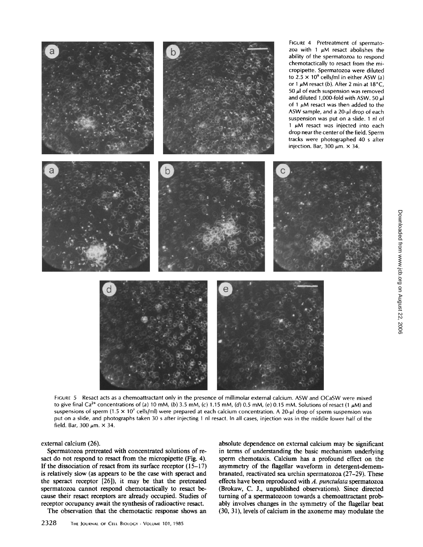

FIGURE 5 Resact acts as a chemoattractant only in the presence of millimolar external calcium. ASW and OCaSW were mixed to give final Ca<sup>2+</sup> concentrations of (a) 10 mM, (b) 3.5 mM, (c) 1.15 mM, (d) 0.5 mM, (e) 0.15 mM. Solutions of resact (1  $\mu$ M) and suspensions of sperm (1.5  $\times$  10<sup>7</sup> cells/ml) were prepared at each calcium concentration. A 20-µl drop of sperm suspension was put on a slide, and photographs taken 30 s after injecting 1 nl resact. In all cases, injection was in the middle lower half of the field. Bar, 300  $\mu$ m.  $\times$  34.

external calcium (26).

Spermatozoa pretreated with concentrated solutions of resact do not respond to resact from the micropipette (Fig. 4). If the dissociation of resact from its surface receptor  $(15-17)$ is relatively slow (as appears to be the case with speract and the speract receptor [26]), it may be that the pretreated spermatozoa cannot respond chemotactically to resact because their resact receptors are already occupied. Studies of receptor occupancy await the synthesis of radioactive resact.

The observation that the chemotactic response shows an

2328 THE JOURNAL OF CELL BIOLOGY - VOLUME 101, 1985

absolute dependence on external calcium may be significant in terms of understanding the basic mechanism underlying sperm chemotaxis. Calcium has a profound effect on the asymmetry of the flagellar waveform in detergent-demembranated, reactivated sea urchin spermatozoa (27-29). These effects have been reproduced with *A. punctulata* spermatozoa (Brokaw, C. J., unpublished observations). Since directed turning of a spermatozoon towards a chemoattractant probably involves changes in the symmetry of the flagellar beat (30, 31), levels of calcium in the axoneme may modulate the